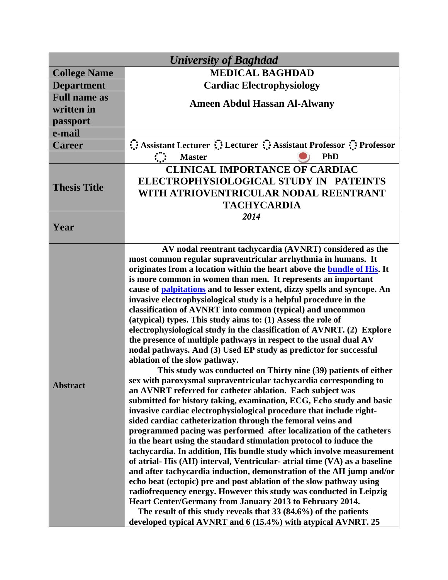| <b>University of Baghdad</b>      |                                                                                                                                                                                                                                                                                                                                                                                                                                                                                                                                                                                                                                                                                                                                                                                                                                                                                                                                                                                                                                                                                                                                                                                                                                                                                                                                                                                                                                                                                                                                                                                                                                                                                                                                                                                                                                                                                                                                                                  |
|-----------------------------------|------------------------------------------------------------------------------------------------------------------------------------------------------------------------------------------------------------------------------------------------------------------------------------------------------------------------------------------------------------------------------------------------------------------------------------------------------------------------------------------------------------------------------------------------------------------------------------------------------------------------------------------------------------------------------------------------------------------------------------------------------------------------------------------------------------------------------------------------------------------------------------------------------------------------------------------------------------------------------------------------------------------------------------------------------------------------------------------------------------------------------------------------------------------------------------------------------------------------------------------------------------------------------------------------------------------------------------------------------------------------------------------------------------------------------------------------------------------------------------------------------------------------------------------------------------------------------------------------------------------------------------------------------------------------------------------------------------------------------------------------------------------------------------------------------------------------------------------------------------------------------------------------------------------------------------------------------------------|
| <b>College Name</b>               | <b>MEDICAL BAGHDAD</b>                                                                                                                                                                                                                                                                                                                                                                                                                                                                                                                                                                                                                                                                                                                                                                                                                                                                                                                                                                                                                                                                                                                                                                                                                                                                                                                                                                                                                                                                                                                                                                                                                                                                                                                                                                                                                                                                                                                                           |
| <b>Department</b>                 | <b>Cardiac Electrophysiology</b>                                                                                                                                                                                                                                                                                                                                                                                                                                                                                                                                                                                                                                                                                                                                                                                                                                                                                                                                                                                                                                                                                                                                                                                                                                                                                                                                                                                                                                                                                                                                                                                                                                                                                                                                                                                                                                                                                                                                 |
| <b>Full name as</b><br>written in | <b>Ameen Abdul Hassan Al-Alwany</b>                                                                                                                                                                                                                                                                                                                                                                                                                                                                                                                                                                                                                                                                                                                                                                                                                                                                                                                                                                                                                                                                                                                                                                                                                                                                                                                                                                                                                                                                                                                                                                                                                                                                                                                                                                                                                                                                                                                              |
| passport                          |                                                                                                                                                                                                                                                                                                                                                                                                                                                                                                                                                                                                                                                                                                                                                                                                                                                                                                                                                                                                                                                                                                                                                                                                                                                                                                                                                                                                                                                                                                                                                                                                                                                                                                                                                                                                                                                                                                                                                                  |
| e-mail                            |                                                                                                                                                                                                                                                                                                                                                                                                                                                                                                                                                                                                                                                                                                                                                                                                                                                                                                                                                                                                                                                                                                                                                                                                                                                                                                                                                                                                                                                                                                                                                                                                                                                                                                                                                                                                                                                                                                                                                                  |
| <b>Career</b>                     | Assistant Lecturer : Lecturer : Assistant Professor : Professor                                                                                                                                                                                                                                                                                                                                                                                                                                                                                                                                                                                                                                                                                                                                                                                                                                                                                                                                                                                                                                                                                                                                                                                                                                                                                                                                                                                                                                                                                                                                                                                                                                                                                                                                                                                                                                                                                                  |
|                                   | PhD<br><b>Master</b>                                                                                                                                                                                                                                                                                                                                                                                                                                                                                                                                                                                                                                                                                                                                                                                                                                                                                                                                                                                                                                                                                                                                                                                                                                                                                                                                                                                                                                                                                                                                                                                                                                                                                                                                                                                                                                                                                                                                             |
| <b>Thesis Title</b>               | <b>CLINICAL IMPORTANCE OF CARDIAC</b><br>ELECTROPHYSIOLOGICAL STUDY IN PATEINTS<br>WITH ATRIOVENTRICULAR NODAL REENTRANT<br><b>TACHYCARDIA</b>                                                                                                                                                                                                                                                                                                                                                                                                                                                                                                                                                                                                                                                                                                                                                                                                                                                                                                                                                                                                                                                                                                                                                                                                                                                                                                                                                                                                                                                                                                                                                                                                                                                                                                                                                                                                                   |
| Year                              | 2014                                                                                                                                                                                                                                                                                                                                                                                                                                                                                                                                                                                                                                                                                                                                                                                                                                                                                                                                                                                                                                                                                                                                                                                                                                                                                                                                                                                                                                                                                                                                                                                                                                                                                                                                                                                                                                                                                                                                                             |
| <b>Abstract</b>                   | AV nodal reentrant tachycardia (AVNRT) considered as the<br>most common regular supraventricular arrhythmia in humans. It<br>originates from a location within the heart above the <b>bundle of His.</b> It<br>is more common in women than men. It represents an important<br>cause of <b>palpitations</b> and to lesser extent, dizzy spells and syncope. An<br>invasive electrophysiological study is a helpful procedure in the<br>classification of AVNRT into common (typical) and uncommon<br>(atypical) types. This study aims to: (1) Assess the role of<br>electrophysiological study in the classification of AVNRT. (2) Explore<br>the presence of multiple pathways in respect to the usual dual AV<br>nodal pathways. And (3) Used EP study as predictor for successful<br>ablation of the slow pathway.<br>This study was conducted on Thirty nine (39) patients of either<br>sex with paroxysmal supraventricular tachycardia corresponding to<br>an AVNRT referred for catheter ablation. Each subject was<br>submitted for history taking, examination, ECG, Echo study and basic<br>invasive cardiac electrophysiological procedure that include right-<br>sided cardiac catheterization through the femoral veins and<br>programmed pacing was performed after localization of the catheters<br>in the heart using the standard stimulation protocol to induce the<br>tachycardia. In addition, His bundle study which involve measurement<br>of atrial-His (AH) interval, Ventricular-atrial time (VA) as a baseline<br>and after tachycardia induction, demonstration of the AH jump and/or<br>echo beat (ectopic) pre and post ablation of the slow pathway using<br>radiofrequency energy. However this study was conducted in Leipzig<br>Heart Center/Germany from January 2013 to February 2014.<br>The result of this study reveals that $33(84.6%)$ of the patients<br>developed typical AVNRT and 6 (15.4%) with atypical AVNRT. 25 |